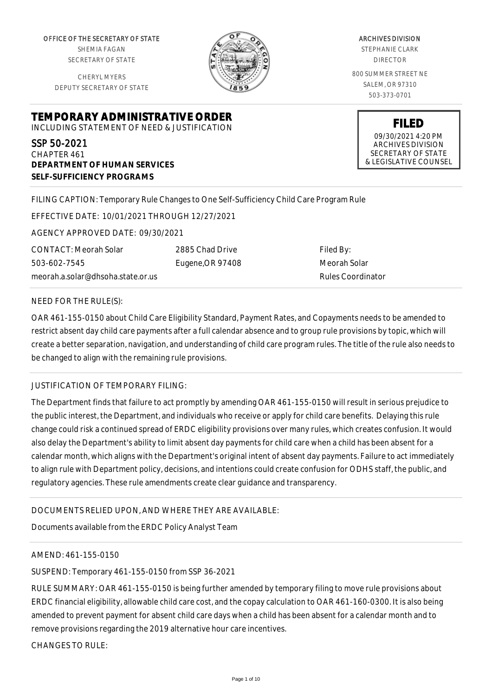OFFICE OF THE SECRETARY OF STATE SHEMIA FAGAN SECRETARY OF STATE

CHERYL MYERS DEPUTY SECRETARY OF STATE



ARCHIVES DIVISION STEPHANIE CLARK DIRECTOR 800 SUMMER STREET NE SALEM, OR 97310 503-373-0701

> **FILED** 09/30/2021 4:20 PM ARCHIVES DIVISION SECRETARY OF STATE & LEGISLATIVE COUNSEL

# **TEMPORARY ADMINISTRATIVE ORDER** INCLUDING STATEMENT OF NEED & JUSTIFICATION

SSP 50-2021 CHAPTER 461 **DEPARTMENT OF HUMAN SERVICES SELF-SUFFICIENCY PROGRAMS**

## FILING CAPTION: Temporary Rule Changes to One Self-Sufficiency Child Care Program Rule

EFFECTIVE DATE: 10/01/2021 THROUGH 12/27/2021

AGENCY APPROVED DATE: 09/30/2021

CONTACT: Meorah Solar 503-602-7545 meorah.a.solar@dhsoha.state.or.us 2885 Chad Drive Eugene,OR 97408

Filed By: Meorah Solar Rules Coordinator

### NEED FOR THE RULE(S):

OAR 461-155-0150 about Child Care Eligibility Standard, Payment Rates, and Copayments needs to be amended to restrict absent day child care payments after a full calendar absence and to group rule provisions by topic, which will create a better separation, navigation, and understanding of child care program rules. The title of the rule also needs to be changed to align with the remaining rule provisions.

### JUSTIFICATION OF TEMPORARY FILING:

The Department finds that failure to act promptly by amending OAR 461-155-0150 will result in serious prejudice to the public interest, the Department, and individuals who receive or apply for child care benefits. Delaying this rule change could risk a continued spread of ERDC eligibility provisions over many rules, which creates confusion. It would also delay the Department's ability to limit absent day payments for child care when a child has been absent for a calendar month, which aligns with the Department's original intent of absent day payments. Failure to act immediately to align rule with Department policy, decisions, and intentions could create confusion for ODHS staff, the public, and regulatory agencies. These rule amendments create clear guidance and transparency.

# DOCUMENTS RELIED UPON, AND WHERE THEY ARE AVAILABLE:

Documents available from the ERDC Policy Analyst Team

### AMEND: 461-155-0150

SUSPEND: Temporary 461-155-0150 from SSP 36-2021

RULE SUMMARY: OAR 461-155-0150 is being further amended by temporary filing to move rule provisions about ERDC financial eligibility, allowable child care cost, and the copay calculation to OAR 461-160-0300. It is also being amended to prevent payment for absent child care days when a child has been absent for a calendar month and to remove provisions regarding the 2019 alternative hour care incentives.

CHANGES TO RULE: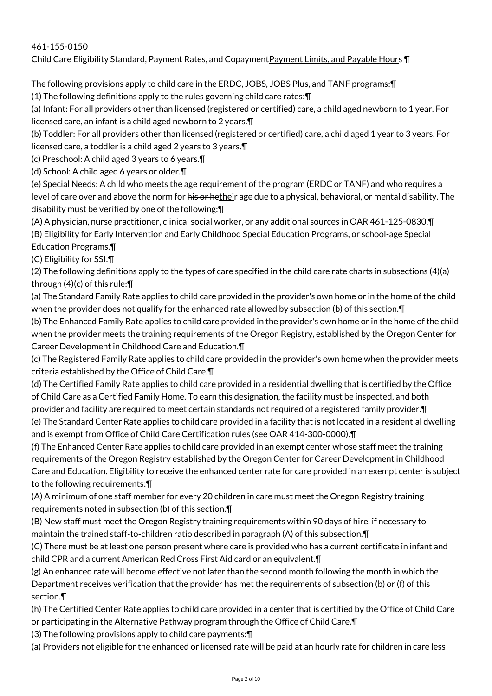## 461-155-0150

Child Care Eligibility Standard, Payment Rates, and Copayment Payment Limits, and Payable Hours ¶

The following provisions apply to child care in the ERDC, JOBS, JOBS Plus, and TANF programs:¶

(1) The following definitions apply to the rules governing child care rates:¶

(a) Infant: For all providers other than licensed (registered or certified) care, a child aged newborn to 1 year. For licensed care, an infant is a child aged newborn to 2 years.¶

(b) Toddler: For all providers other than licensed (registered or certified) care, a child aged 1 year to 3 years. For licensed care, a toddler is a child aged 2 years to 3 years.¶

(c) Preschool: A child aged 3 years to 6 years.¶

(d) School: A child aged 6 years or older.¶

(e) Special Needs: A child who meets the age requirement of the program (ERDC or TANF) and who requires a level of care over and above the norm for his or hetheir age due to a physical, behavioral, or mental disability. The disability must be verified by one of the following:¶

(A) A physician, nurse practitioner, clinical social worker, or any additional sources in OAR 461-125-0830.¶ (B) Eligibility for Early Intervention and Early Childhood Special Education Programs, or school-age Special Education Programs.¶

(C) Eligibility for SSI.¶

(2) The following definitions apply to the types of care specified in the child care rate charts in subsections (4)(a) through (4)(c) of this rule:¶

(a) The Standard Family Rate applies to child care provided in the provider's own home or in the home of the child when the provider does not qualify for the enhanced rate allowed by subsection (b) of this section.¶

(b) The Enhanced Family Rate applies to child care provided in the provider's own home or in the home of the child when the provider meets the training requirements of the Oregon Registry, established by the Oregon Center for Career Development in Childhood Care and Education.¶

(c) The Registered Family Rate applies to child care provided in the provider's own home when the provider meets criteria established by the Office of Child Care.¶

(d) The Certified Family Rate applies to child care provided in a residential dwelling that is certified by the Office of Child Care as a Certified Family Home. To earn this designation, the facility must be inspected, and both provider and facility are required to meet certain standards not required of a registered family provider.¶ (e) The Standard Center Rate applies to child care provided in a facility that is not located in a residential dwelling and is exempt from Office of Child Care Certification rules (see OAR 414-300-0000).¶

(f) The Enhanced Center Rate applies to child care provided in an exempt center whose staff meet the training requirements of the Oregon Registry established by the Oregon Center for Career Development in Childhood Care and Education. Eligibility to receive the enhanced center rate for care provided in an exempt center is subject to the following requirements:¶

(A) A minimum of one staff member for every 20 children in care must meet the Oregon Registry training requirements noted in subsection (b) of this section.¶

(B) New staff must meet the Oregon Registry training requirements within 90 days of hire, if necessary to maintain the trained staff-to-children ratio described in paragraph (A) of this subsection.¶

(C) There must be at least one person present where care is provided who has a current certificate in infant and child CPR and a current American Red Cross First Aid card or an equivalent.¶

(g) An enhanced rate will become effective not later than the second month following the month in which the Department receives verification that the provider has met the requirements of subsection (b) or (f) of this section.¶

(h) The Certified Center Rate applies to child care provided in a center that is certified by the Office of Child Care or participating in the Alternative Pathway program through the Office of Child Care.¶

(3) The following provisions apply to child care payments:¶

(a) Providers not eligible for the enhanced or licensed rate will be paid at an hourly rate for children in care less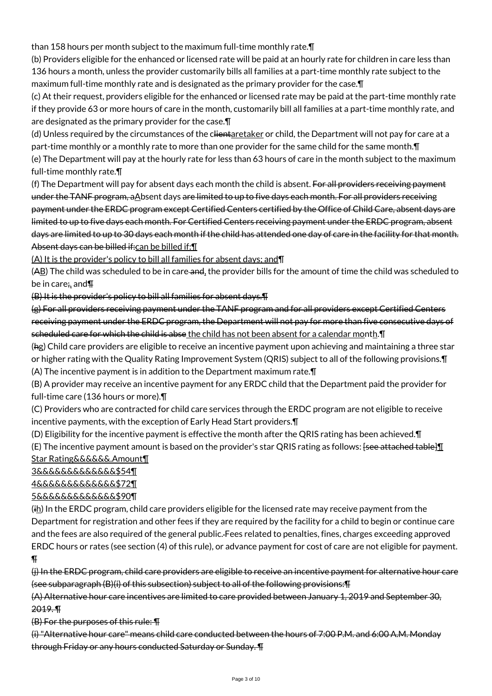than 158 hours per month subject to the maximum full-time monthly rate.¶

(b) Providers eligible for the enhanced or licensed rate will be paid at an hourly rate for children in care less than 136 hours a month, unless the provider customarily bills all families at a part-time monthly rate subject to the maximum full-time monthly rate and is designated as the primary provider for the case.¶

(c) At their request, providers eligible for the enhanced or licensed rate may be paid at the part-time monthly rate if they provide 63 or more hours of care in the month, customarily bill all families at a part-time monthly rate, and are designated as the primary provider for the case.¶

(d) Unless required by the circumstances of the clientaretaker or child, the Department will not pay for care at a part-time monthly or a monthly rate to more than one provider for the same child for the same month.¶

(e) The Department will pay at the hourly rate for less than 63 hours of care in the month subject to the maximum full-time monthly rate.¶

(f) The Department will pay for absent days each month the child is absent. For all providers receiving payment under the TANF program, aAbsent days are limited to up to five days each month. For all providers receiving payment under the ERDC program except Certified Centers certified by the Office of Child Care, absent days are limited to up to five days each month. For Certified Centers receiving payment under the ERDC program, absent days are limited to up to 30 days each month if the child has attended one day of care in the facility for that month. Absent days can be billed if: can be billed if: \[

(A) It is the provider's policy to bill all families for absent days; and¶

(AB) The child was scheduled to be in care-and, the provider bills for the amount of time the child was scheduled to be in care; and F

(B) It is the provider's policy to bill all families for absent days.¶

(g) For all providers receiving payment under the TANF program and for all providers except Certified Centers receiving payment under the ERDC program, the Department will not pay for more than five consecutive days of scheduled care for which the child is abse the child has not been absent for a calendar month. I

(hg) Child care providers are eligible to receive an incentive payment upon achieving and maintaining a three star or higher rating with the Quality Rating Improvement System (QRIS) subject to all of the following provisions.¶ (A) The incentive payment is in addition to the Department maximum rate.¶

(B) A provider may receive an incentive payment for any ERDC child that the Department paid the provider for full-time care (136 hours or more).¶

(C) Providers who are contracted for child care services through the ERDC program are not eligible to receive incentive payments, with the exception of Early Head Start providers.¶

(D) Eligibility for the incentive payment is effective the month after the QRIS rating has been achieved.¶ (E) The incentive payment amount is based on the provider's star QRIS rating as follows:  $[see$  attached table] $\mathbb{I}$ Star Rating&&&&&&.Amount¶

3&&&&&&&&&&&&&\$54¶

# 4&&&&&&&&&&&&&\$72¶

# 5&&&&&&&&&&&&&\$90¶

 $(i<sub>h</sub>)$  In the ERDC program, child care providers eligible for the licensed rate may receive payment from the Department for registration and other fees if they are required by the facility for a child to begin or continue care and the fees are also required of the general public. Fees related to penalties, fines, charges exceeding approved ERDC hours or rates (see section (4) of this rule), or advance payment for cost of care are not eligible for payment.  $\P$ 

(j) In the ERDC program, child care providers are eligible to receive an incentive payment for alternative hour care (see subparagraph (B)(i) of this subsection) subject to all of the following provisions:¶

(A) Alternative hour care incentives are limited to care provided between January 1, 2019 and September 30, 2019. ¶

(B) For the purposes of this rule: ¶

(i) "Alternative hour care" means child care conducted between the hours of 7:00 P.M. and 6:00 A.M. Monday through Friday or any hours conducted Saturday or Sunday. ¶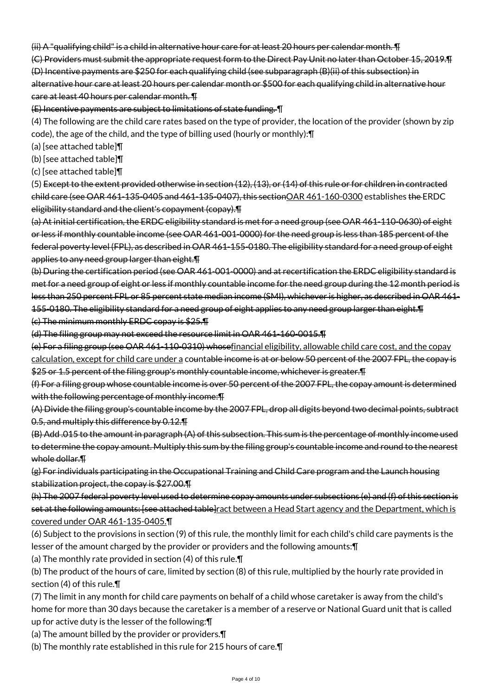(ii) A "qualifying child" is a child in alternative hour care for at least 20 hours per calendar month. ¶

(C) Providers must submit the appropriate request form to the Direct Pay Unit no later than October 15, 2019.¶ (D) Incentive payments are \$250 for each qualifying child (see subparagraph (B)(ii) of this subsection) in alternative hour care at least 20 hours per calendar month or \$500 for each qualifying child in alternative hour care at least 40 hours per calendar month. ¶

(E) Incentive payments are subject to limitations of state funding. ¶

(4) The following are the child care rates based on the type of provider, the location of the provider (shown by zip code), the age of the child, and the type of billing used (hourly or monthly):¶

(a) [see attached table]¶

(b) [see attached table]¶

(c) [see attached table]¶

(5) Except to the extent provided otherwise in section (12), (13), or (14) of this rule or for children in contracted child care (see OAR 461-135-0405 and 461-135-0407), this sectionOAR 461-160-0300 establishes the ERDC eligibility standard and the client's copayment (copay).¶

(a) At initial certification, the ERDC eligibility standard is met for a need group (see OAR 461-110-0630) of eight or less if monthly countable income (see OAR 461-001-0000) for the need group is less than 185 percent of the federal poverty level (FPL), as described in OAR 461-155-0180. The eligibility standard for a need group of eight applies to any need group larger than eight.¶

(b) During the certification period (see OAR 461-001-0000) and at recertification the ERDC eligibility standard is met for a need group of eight or less if monthly countable income for the need group during the 12 month period is less than 250 percent FPL or 85 percent state median income (SMI), whichever is higher, as described in OAR 461- 155-0180. The eligibility standard for a need group of eight applies to any need group larger than eight.¶ (c) The minimum monthly ERDC copay is \$25.¶

(d) The filing group may not exceed the resource limit in OAR 461-160-0015.¶

(e) For a filing group (see OAR 461-110-0310) whosefinancial eligibility, allowable child care cost, and the copay calculation, except for child care under a countable income is at or below 50 percent of the 2007 FPL, the copay is

\$25 or 1.5 percent of the filing group's monthly countable income, whichever is greater. The

(f) For a filing group whose countable income is over 50 percent of the 2007 FPL, the copay amount is determined with the following percentage of monthly income: T

(A) Divide the filing group's countable income by the 2007 FPL, drop all digits beyond two decimal points, subtract 0.5, and multiply this difference by 0.12.¶

(B) Add .015 to the amount in paragraph (A) of this subsection. This sum is the percentage of monthly income used to determine the copay amount. Multiply this sum by the filing group's countable income and round to the nearest whole dollar.¶

(g) For individuals participating in the Occupational Training and Child Care program and the Launch housing stabilization project, the copay is \$27.00.¶

(h) The 2007 federal poverty level used to determine copay amounts under subsections (e) and (f) of this section is set at the following amounts: [see attached table]ract between a Head Start agency and the Department, which is covered under OAR 461-135-0405.¶

(6) Subject to the provisions in section (9) of this rule, the monthly limit for each child's child care payments is the lesser of the amount charged by the provider or providers and the following amounts:¶

(a) The monthly rate provided in section (4) of this rule.¶

(b) The product of the hours of care, limited by section (8) of this rule, multiplied by the hourly rate provided in section (4) of this rule.¶

(7) The limit in any month for child care payments on behalf of a child whose caretaker is away from the child's home for more than 30 days because the caretaker is a member of a reserve or National Guard unit that is called up for active duty is the lesser of the following:¶

(a) The amount billed by the provider or providers.¶

(b) The monthly rate established in this rule for 215 hours of care.¶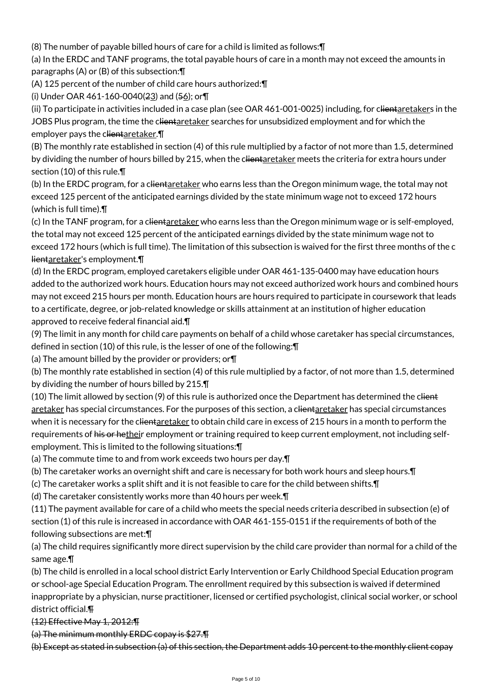(8) The number of payable billed hours of care for a child is limited as follows:¶

(a) In the ERDC and TANF programs, the total payable hours of care in a month may not exceed the amounts in paragraphs (A) or (B) of this subsection:¶

(A) 125 percent of the number of child care hours authorized:¶

(i) Under OAR 461-160-0040(23) and (56); or¶

(ii) To participate in activities included in a case plan (see OAR 461-001-0025) including, for clientaretakers in the JOBS Plus program, the time the clientaretaker searches for unsubsidized employment and for which the employer pays the clientaretaker. [1]

(B) The monthly rate established in section (4) of this rule multiplied by a factor of not more than 1.5, determined by dividing the number of hours billed by 215, when the clientaretaker meets the criteria for extra hours under section (10) of this rule.¶

(b) In the ERDC program, for a clientaretaker who earns less than the Oregon minimum wage, the total may not exceed 125 percent of the anticipated earnings divided by the state minimum wage not to exceed 172 hours (which is full time).¶

(c) In the TANF program, for a clientaretaker who earns less than the Oregon minimum wage or is self-employed, the total may not exceed 125 percent of the anticipated earnings divided by the state minimum wage not to exceed 172 hours (which is full time). The limitation of this subsection is waived for the first three months of the c lientaretaker's employment.¶

(d) In the ERDC program, employed caretakers eligible under OAR 461-135-0400 may have education hours added to the authorized work hours. Education hours may not exceed authorized work hours and combined hours may not exceed 215 hours per month. Education hours are hours required to participate in coursework that leads to a certificate, degree, or job-related knowledge or skills attainment at an institution of higher education approved to receive federal financial aid.¶

(9) The limit in any month for child care payments on behalf of a child whose caretaker has special circumstances, defined in section (10) of this rule, is the lesser of one of the following:¶

(a) The amount billed by the provider or providers; or¶

(b) The monthly rate established in section (4) of this rule multiplied by a factor, of not more than 1.5, determined by dividing the number of hours billed by 215.¶

(10) The limit allowed by section (9) of this rule is authorized once the Department has determined the client aretaker has special circumstances. For the purposes of this section, a clientaretaker has special circumstances when it is necessary for the clientaretaker to obtain child care in excess of 215 hours in a month to perform the requirements of his or hetheir employment or training required to keep current employment, not including selfemployment. This is limited to the following situations:¶

(a) The commute time to and from work exceeds two hours per day.¶

(b) The caretaker works an overnight shift and care is necessary for both work hours and sleep hours.¶

(c) The caretaker works a split shift and it is not feasible to care for the child between shifts.¶

(d) The caretaker consistently works more than 40 hours per week.¶

(11) The payment available for care of a child who meets the special needs criteria described in subsection (e) of section (1) of this rule is increased in accordance with OAR 461-155-0151 if the requirements of both of the following subsections are met:¶

(a) The child requires significantly more direct supervision by the child care provider than normal for a child of the same age.¶

(b) The child is enrolled in a local school district Early Intervention or Early Childhood Special Education program or school-age Special Education Program. The enrollment required by this subsection is waived if determined inappropriate by a physician, nurse practitioner, licensed or certified psychologist, clinical social worker, or school district official.¶

(12) Effective May 1, 2012:¶

(a) The minimum monthly ERDC copay is \$27.¶

(b) Except as stated in subsection (a) of this section, the Department adds 10 percent to the monthly client copay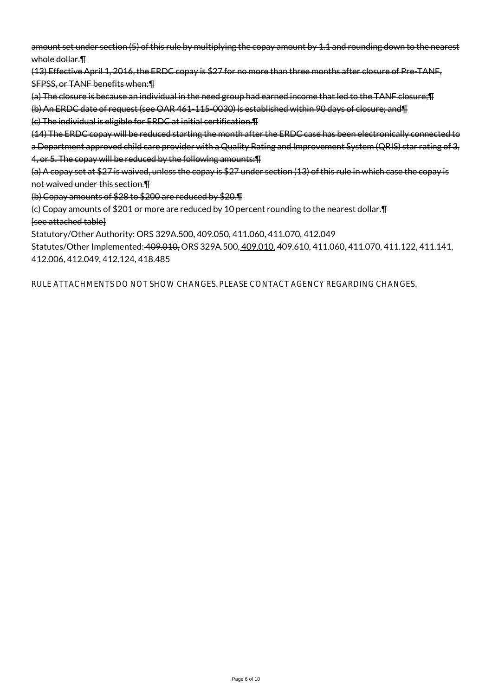amount set under section (5) of this rule by multiplying the copay amount by 1.1 and rounding down to the nearest whole dollar. T

(13) Effective April 1, 2016, the ERDC copay is \$27 for no more than three months after closure of Pre-TANF, SFPSS, or TANF benefits when:¶

(a) The closure is because an individual in the need group had earned income that led to the TANF closure;¶ (b) An ERDC date of request (see OAR 461-115-0030) is established within 90 days of closure; and¶

(c) The individual is eligible for ERDC at initial certification.¶

(14) The ERDC copay will be reduced starting the month after the ERDC case has been electronically connected to a Department approved child care provider with a Quality Rating and Improvement System (QRIS) star rating of 3, 4, or 5. The copay will be reduced by the following amounts:¶

(a) A copay set at \$27 is waived, unless the copay is \$27 under section (13) of this rule in which case the copay is not waived under this section.¶

(b) Copay amounts of \$28 to \$200 are reduced by \$20.¶

(c) Copay amounts of \$201 or more are reduced by 10 percent rounding to the nearest dollar.¶ [see attached table]

Statutory/Other Authority: ORS 329A.500, 409.050, 411.060, 411.070, 412.049

Statutes/Other Implemented: 409.010, ORS 329A.500, 409.010, 409.610, 411.060, 411.070, 411.122, 411.141, 412.006, 412.049, 412.124, 418.485

RULE ATTACHMENTS DO NOT SHOW CHANGES. PLEASE CONTACT AGENCY REGARDING CHANGES.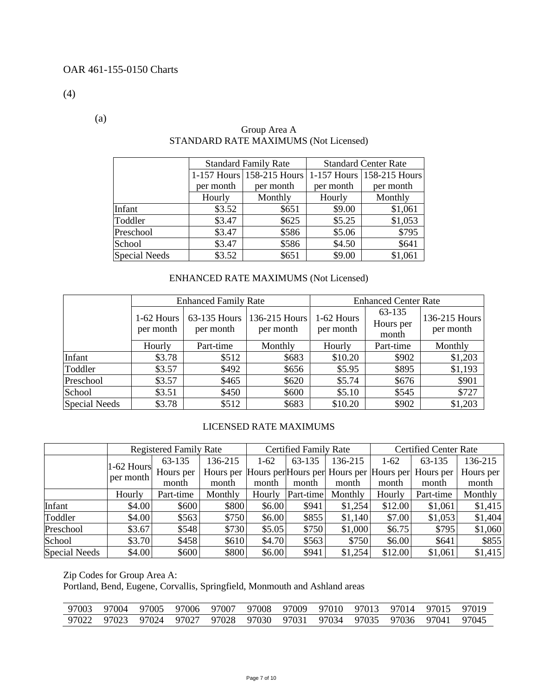(4)

(a)

|               |           | <b>Standard Family Rate</b>                         |           | <b>Standard Center Rate</b> |
|---------------|-----------|-----------------------------------------------------|-----------|-----------------------------|
|               |           | 1-157 Hours 158-215 Hours 1-157 Hours 158-215 Hours |           |                             |
|               | per month | per month                                           | per month | per month                   |
|               | Hourly    | Monthly                                             | Hourly    | Monthly                     |
| Infant        | \$3.52    | \$651                                               | \$9.00    | \$1,061                     |
| Toddler       | \$3.47    | \$625                                               | \$5.25    | \$1,053                     |
| Preschool     | \$3.47    | \$586                                               | \$5.06    | \$795                       |
| School        | \$3.47    | \$586                                               | \$4.50    | \$641                       |
| Special Needs | \$3.52    | \$651                                               | \$9.00    | \$1,061                     |

### Group Area A STANDARD RATE MAXIMUMS (Not Licensed)

# ENHANCED RATE MAXIMUMS (Not Licensed)

|                      |                           | <b>Enhanced Family Rate</b> |                            | <b>Enhanced Center Rate</b> |                              |                            |  |
|----------------------|---------------------------|-----------------------------|----------------------------|-----------------------------|------------------------------|----------------------------|--|
|                      | $1-62$ Hours<br>per month | 63-135 Hours<br>per month   | 136-215 Hours<br>per month | 1-62 Hours<br>per month     | 63-135<br>Hours per<br>month | 136-215 Hours<br>per month |  |
|                      | Hourly                    | Part-time                   | Monthly                    | Hourly                      | Part-time                    | Monthly                    |  |
| Infant               | \$3.78                    | \$512                       | \$683                      | \$10.20                     | \$902                        | \$1,203                    |  |
| Toddler              | \$3.57                    | \$492                       | \$656                      | \$5.95                      | \$895                        | \$1,193                    |  |
| Preschool            | \$3.57                    | \$465                       | \$620                      | \$5.74                      | \$676                        | \$901                      |  |
| School               | \$3.51                    | \$450                       | \$600                      | \$5.10                      | \$545                        | \$727                      |  |
| <b>Special Needs</b> | \$3.78                    | \$512                       | \$683                      | \$10.20                     | \$902                        | \$1,203                    |  |

### LICENSED RATE MAXIMUMS

|               |              | <b>Registered Family Rate</b> |         |        | <b>Certified Family Rate</b> |         |         | <b>Certified Center Rate</b>                                |           |  |
|---------------|--------------|-------------------------------|---------|--------|------------------------------|---------|---------|-------------------------------------------------------------|-----------|--|
|               |              | 63-135                        | 136-215 | $1-62$ | 63-135                       | 136-215 | $1-62$  | 63-135                                                      | 136-215   |  |
|               | $1-62$ Hours | Hours per                     |         |        |                              |         |         | Hours per Hours per Hours per Hours per Hours per Hours per | Hours per |  |
|               | per month    | month                         | month   | month  | month                        | month   | month   | month                                                       | month     |  |
|               | Hourly       | Part-time                     | Monthly | Hourly | Part-time                    | Monthly | Hourly  | Part-time                                                   | Monthly   |  |
| Infant        | \$4.00       | \$600                         | \$800   | \$6.00 | \$941                        | \$1,254 | \$12.00 | \$1,061                                                     | \$1,415   |  |
| Toddler       | \$4.00       | \$563                         | \$750   | \$6.00 | \$855                        | \$1,140 | \$7.00  | \$1,053                                                     | \$1,404   |  |
| Preschool     | \$3.67       | \$548                         | \$730   | \$5.05 | \$750                        | \$1,000 | \$6.75  | \$795                                                       | \$1,060   |  |
| School        | \$3.70       | \$458                         | \$610   | \$4.70 | \$563                        | \$750   | \$6.00  | \$641                                                       | \$855     |  |
| Special Needs | \$4.00       | \$600                         | \$800   | \$6.00 | \$941                        | \$1,254 | \$12.00 | \$1,061                                                     | \$1,415   |  |

Zip Codes for Group Area A:

Portland, Bend, Eugene, Corvallis, Springfield, Monmouth and Ashland areas

|  | 97003 97004 97005 97006 97007 97008 97009 97010 97013 97014 97015 97019 |  |  |  |  |  |
|--|-------------------------------------------------------------------------|--|--|--|--|--|
|  | 97022 97023 97024 97027 97028 97030 97031 97034 97035 97036 97041 97045 |  |  |  |  |  |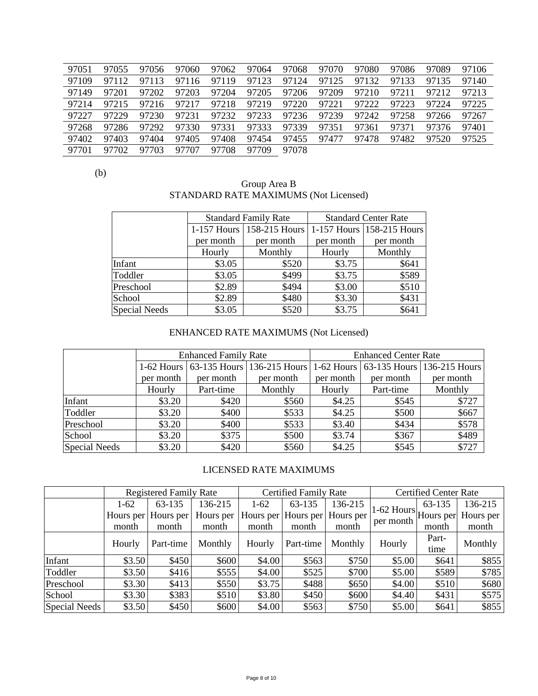| 97051 | 97055 | 97056 | 97060 | 97062 | 97064 | 97068 | 97070 | 97080 | 97086       | 97089 | 97106 |
|-------|-------|-------|-------|-------|-------|-------|-------|-------|-------------|-------|-------|
| 97109 | 97112 | 97113 | 97116 | 97119 | 97123 | 97124 | 97125 | 97132 | 97133       | 97135 | 97140 |
| 97149 | 97201 | 97202 | 97203 | 97204 | 97205 | 97206 | 97209 | 97210 | 97211 97212 |       | 97213 |
| 97214 | 97215 | 97216 | 97217 | 97218 | 97219 | 97220 | 97221 | 97222 | 97223       | 97224 | 97225 |
| 97227 | 97229 | 97230 | 97231 | 97232 | 97233 | 97236 | 97239 | 97242 | 97258       | 97266 | 97267 |
| 97268 | 97286 | 97292 | 97330 | 97331 | 97333 | 97339 | 97351 | 97361 | 97371       | 97376 | 97401 |
| 97402 | 97403 | 97404 | 97405 | 97408 | 97454 | 97455 | 97477 | 97478 | 97482       | 97520 | 97525 |
| 97701 | 97702 | 97703 | 97707 | 97708 | 97709 | 97078 |       |       |             |       |       |

(b)

#### Group Area B STANDARD RATE MAXIMUMS (Not Licensed)

|                      |           | <b>Standard Family Rate</b> |           | <b>Standard Center Rate</b> |
|----------------------|-----------|-----------------------------|-----------|-----------------------------|
|                      |           | 1-157 Hours   158-215 Hours |           | 1-157 Hours 158-215 Hours   |
|                      | per month | per month                   | per month | per month                   |
|                      | Hourly    | Monthly                     | Hourly    | Monthly                     |
| Infant               | \$3.05    | \$520                       | \$3.75    | \$641                       |
| Toddler              | \$3.05    | \$499                       | \$3.75    | \$589                       |
| Preschool            | \$2.89    | \$494                       | \$3.00    | \$510                       |
| School               | \$2.89    | \$480                       | \$3.30    | \$431                       |
| <b>Special Needs</b> | \$3.05    | \$520                       | \$3.75    | \$641                       |

# ENHANCED RATE MAXIMUMS (Not Licensed)

|               |           | <b>Enhanced Family Rate</b> |                                                                             |           | <b>Enhanced Center Rate</b> |           |
|---------------|-----------|-----------------------------|-----------------------------------------------------------------------------|-----------|-----------------------------|-----------|
|               |           |                             | 1-62 Hours 63-135 Hours 136-215 Hours 1-62 Hours 63-135 Hours 136-215 Hours |           |                             |           |
|               | per month | per month                   | per month                                                                   | per month | per month                   | per month |
|               | Hourly    | Part-time                   | Monthly                                                                     | Hourly    | Part-time                   | Monthly   |
| Infant        | \$3.20    | \$420                       | \$560                                                                       | \$4.25    | \$545                       | \$727     |
| Toddler       | \$3.20    | \$400                       | \$533                                                                       | \$4.25    | \$500                       | \$667     |
| Preschool     | \$3.20    | \$400                       | \$533                                                                       | \$3.40    | \$434                       | \$578     |
| School        | \$3.20    | \$375                       | \$500                                                                       | \$3.74    | \$367                       | \$489     |
| Special Needs | \$3.20    | \$420                       | \$560                                                                       | \$4.25    | \$545                       | \$727     |

### LICENSED RATE MAXIMUMS

|               |        | <b>Registered Family Rate</b> |           |        | <b>Certified Family Rate</b> |           |                                                       | <b>Certified Center Rate</b> |         |
|---------------|--------|-------------------------------|-----------|--------|------------------------------|-----------|-------------------------------------------------------|------------------------------|---------|
|               | $1-62$ | 63-135                        | 136-215   | $1-62$ | 63-135                       | 136-215   |                                                       | 63-135                       | 136-215 |
|               |        | Hours per Hours per           | Hours per |        | Hours per Hours per          | Hours per | $1-62$ Hours $\vert$ Hours per Hours per<br>per month |                              |         |
|               | month  | month                         | month     | month  | month                        | month     |                                                       | month                        | month   |
|               | Hourly | Part-time                     | Monthly   | Hourly | Part-time                    | Monthly   | Hourly                                                | Part-                        | Monthly |
|               |        |                               |           |        |                              |           |                                                       | time                         |         |
| Infant        | \$3.50 | \$450                         | \$600     | \$4.00 | \$563                        | \$750     | \$5.00                                                | \$641                        | \$855   |
| Toddler       | \$3.50 | \$416                         | \$555     | \$4.00 | \$525                        | \$700     | \$5.00                                                | \$589                        | \$785   |
| Preschool     | \$3.30 | \$413                         | \$550     | \$3.75 | \$488                        | \$650     | \$4.00                                                | \$510                        | \$680   |
| School        | \$3.30 | \$383                         | \$510     | \$3.80 | \$450                        | \$600     | \$4.40                                                | \$431                        | \$575   |
| Special Needs | \$3.50 | \$450                         | \$600     | \$4.00 | \$563                        | \$750     | \$5.00                                                | \$641                        | \$855   |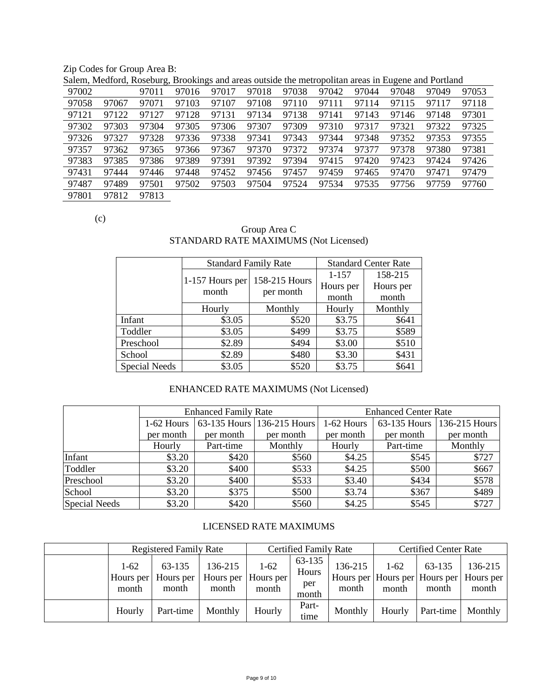Zip Codes for Group Area B:

|       |       | Salem, Medford, Roseburg, Brookings and areas outside the metropolitan areas in Eugene and Portland |       |       |       |       |       |       |       |       |       |
|-------|-------|-----------------------------------------------------------------------------------------------------|-------|-------|-------|-------|-------|-------|-------|-------|-------|
| 97002 |       | 97011                                                                                               | 97016 | 97017 | 97018 | 97038 | 97042 | 97044 | 97048 | 97049 | 97053 |
| 97058 | 97067 | 97071                                                                                               | 97103 | 97107 | 97108 | 97110 | 97111 | 97114 | 97115 | 97117 | 97118 |
| 97121 | 97122 | 97127                                                                                               | 97128 | 97131 | 97134 | 97138 | 97141 | 97143 | 97146 | 97148 | 97301 |
| 97302 | 97303 | 97304                                                                                               | 97305 | 97306 | 97307 | 97309 | 97310 | 97317 | 97321 | 97322 | 97325 |
| 97326 | 97327 | 97328                                                                                               | 97336 | 97338 | 97341 | 97343 | 97344 | 97348 | 97352 | 97353 | 97355 |
| 97357 | 97362 | 97365                                                                                               | 97366 | 97367 | 97370 | 97372 | 97374 | 97377 | 97378 | 97380 | 97381 |
| 97383 | 97385 | 97386                                                                                               | 97389 | 97391 | 97392 | 97394 | 97415 | 97420 | 97423 | 97424 | 97426 |
| 97431 | 97444 | 97446                                                                                               | 97448 | 97452 | 97456 | 97457 | 97459 | 97465 | 97470 | 97471 | 97479 |
| 97487 | 97489 | 97501                                                                                               | 97502 | 97503 | 97504 | 97524 | 97534 | 97535 | 97756 | 97759 | 97760 |
| 97801 | 97812 | 97813                                                                                               |       |       |       |       |       |       |       |       |       |

Salem, Medford, Roseburg, Brookings and areas outside the metropolitan areas in Eugene and Portland

(c)

# Group Area C STANDARD RATE MAXIMUMS (Not Licensed)

|                      | <b>Standard Family Rate</b> |               |           | <b>Standard Center Rate</b> |
|----------------------|-----------------------------|---------------|-----------|-----------------------------|
|                      | 1-157 Hours per             | 158-215 Hours | $1 - 157$ | 158-215                     |
|                      | month                       | per month     | Hours per | Hours per                   |
|                      |                             |               | month     | month                       |
|                      | Hourly                      | Monthly       | Hourly    | Monthly                     |
| Infant               | \$3.05                      | \$520         | \$3.75    | \$641                       |
| Toddler              | \$3.05                      | \$499         | \$3.75    | \$589                       |
| Preschool            | \$2.89                      | \$494         | \$3.00    | \$510                       |
| School               | \$2.89                      | \$480         | \$3.30    | \$431                       |
| <b>Special Needs</b> | \$3.05                      | \$520         | \$3.75    | \$641                       |

# ENHANCED RATE MAXIMUMS (Not Licensed)

|               |            | <b>Enhanced Family Rate</b> |                              | <b>Enhanced Center Rate</b> |              |               |  |
|---------------|------------|-----------------------------|------------------------------|-----------------------------|--------------|---------------|--|
|               | 1-62 Hours |                             | 63-135 Hours   136-215 Hours | 1-62 Hours                  | 63-135 Hours | 136-215 Hours |  |
|               | per month  | per month                   | per month                    | per month                   | per month    | per month     |  |
|               | Hourly     | Part-time                   | Monthly                      | Hourly                      | Part-time    | Monthly       |  |
| Infant        | \$3.20     | \$420                       | \$560                        | \$4.25                      | \$545        | \$727         |  |
| Toddler       | \$3.20     | \$400                       | \$533                        | \$4.25                      | \$500        | \$667         |  |
| Preschool     | \$3.20     | \$400                       | \$533                        | \$3.40                      | \$434        | \$578         |  |
| School        | \$3.20     | \$375                       | \$500                        | \$3.74                      | \$367        | \$489         |  |
| Special Needs | \$3.20     | \$420                       | \$560                        | \$4.25                      | \$545        | \$727         |  |

### LICENSED RATE MAXIMUMS

|                 | <b>Registered Family Rate</b>          |                                         |                 | <b>Certified Family Rate</b>    |                  | <b>Certified Center Rate</b> |                 |                                                             |
|-----------------|----------------------------------------|-----------------------------------------|-----------------|---------------------------------|------------------|------------------------------|-----------------|-------------------------------------------------------------|
| $1-62$<br>month | 63-135<br>Hours per Hours per<br>month | 136-215<br>Hours per Hours per<br>month | $1-62$<br>month | 63-135<br>Hours<br>per<br>month | 136-215<br>month | $1-62$<br>month              | 63-135<br>month | 136-215<br>Hours per Hours per Hours per Hours per<br>month |
| Hourly          | Part-time                              | Monthly                                 | Hourly          | Part-<br>time                   | Monthly          | Hourly                       | Part-time       | Monthly                                                     |